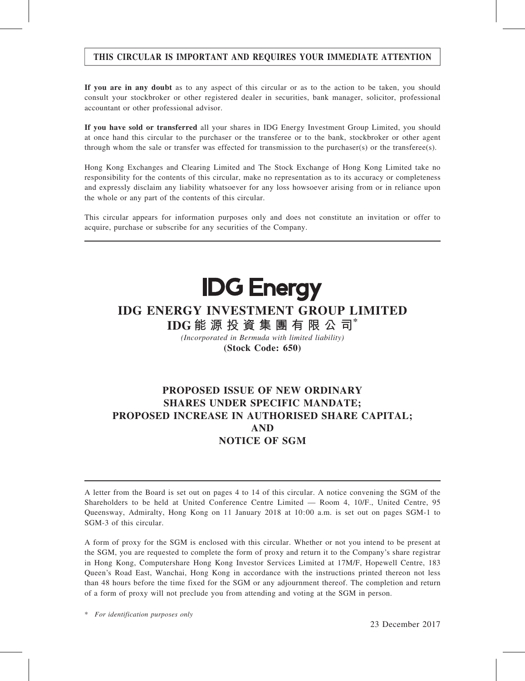## THIS CIRCULAR IS IMPORTANT AND REQUIRES YOUR IMMEDIATE ATTENTION

If you are in any doubt as to any aspect of this circular or as to the action to be taken, you should consult your stockbroker or other registered dealer in securities, bank manager, solicitor, professional accountant or other professional advisor.

If you have sold or transferred all your shares in IDG Energy Investment Group Limited, you should at once hand this circular to the purchaser or the transferee or to the bank, stockbroker or other agent through whom the sale or transfer was effected for transmission to the purchaser(s) or the transferee(s).

Hong Kong Exchanges and Clearing Limited and The Stock Exchange of Hong Kong Limited take no responsibility for the contents of this circular, make no representation as to its accuracy or completeness and expressly disclaim any liability whatsoever for any loss howsoever arising from or in reliance upon the whole or any part of the contents of this circular.

This circular appears for information purposes only and does not constitute an invitation or offer to acquire, purchase or subscribe for any securities of the Company.

## **IDG Energy**

## IDG ENERGY INVESTMENT GROUP LIMITED

IDG 能 源 投 資 集 團 有 限 公 司\*

(Incorporated in Bermuda with limited liability) (Stock Code: 650)

## PROPOSED ISSUE OF NEW ORDINARY SHARES UNDER SPECIFIC MANDATE; PROPOSED INCREASE IN AUTHORISED SHARE CAPITAL; AND NOTICE OF SGM

A letter from the Board is set out on pages 4 to 14 of this circular. A notice convening the SGM of the Shareholders to be held at United Conference Centre Limited — Room 4, 10/F., United Centre, 95 Queensway, Admiralty, Hong Kong on 11 January 2018 at 10:00 a.m. is set out on pages SGM-1 to SGM-3 of this circular.

A form of proxy for the SGM is enclosed with this circular. Whether or not you intend to be present at the SGM, you are requested to complete the form of proxy and return it to the Company's share registrar in Hong Kong, Computershare Hong Kong Investor Services Limited at 17M/F, Hopewell Centre, 183 Queen's Road East, Wanchai, Hong Kong in accordance with the instructions printed thereon not less than 48 hours before the time fixed for the SGM or any adjournment thereof. The completion and return of a form of proxy will not preclude you from attending and voting at the SGM in person.

\* For identification purposes only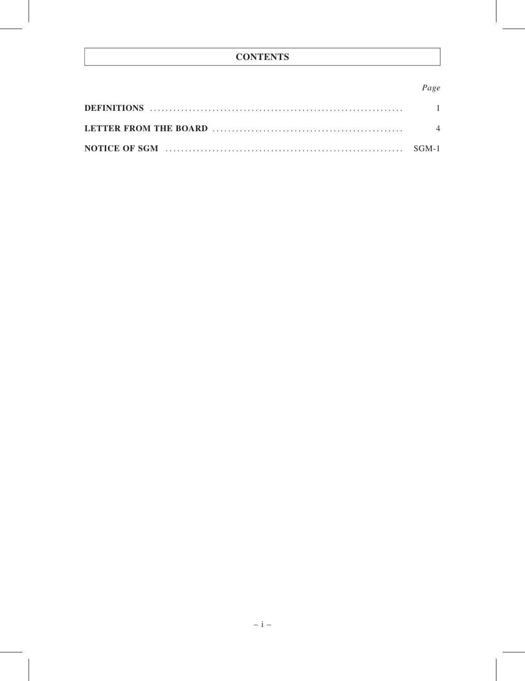## **CONTENTS**

## Page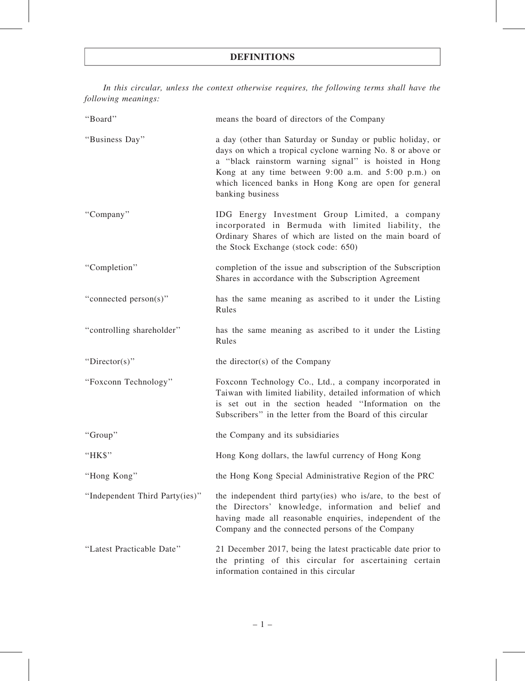In this circular, unless the context otherwise requires, the following terms shall have the following meanings:

| "Board"                        | means the board of directors of the Company                                                                                                                                                                                                                                                                             |
|--------------------------------|-------------------------------------------------------------------------------------------------------------------------------------------------------------------------------------------------------------------------------------------------------------------------------------------------------------------------|
| "Business Day"                 | a day (other than Saturday or Sunday or public holiday, or<br>days on which a tropical cyclone warning No. 8 or above or<br>a "black rainstorm warning signal" is hoisted in Hong<br>Kong at any time between 9:00 a.m. and 5:00 p.m.) on<br>which licenced banks in Hong Kong are open for general<br>banking business |
| "Company"                      | IDG Energy Investment Group Limited, a company<br>incorporated in Bermuda with limited liability, the<br>Ordinary Shares of which are listed on the main board of<br>the Stock Exchange (stock code: 650)                                                                                                               |
| "Completion"                   | completion of the issue and subscription of the Subscription<br>Shares in accordance with the Subscription Agreement                                                                                                                                                                                                    |
| "connected person(s)"          | has the same meaning as ascribed to it under the Listing<br>Rules                                                                                                                                                                                                                                                       |
| "controlling shareholder"      | has the same meaning as ascribed to it under the Listing<br>Rules                                                                                                                                                                                                                                                       |
| "Director(s)"                  | the director(s) of the Company                                                                                                                                                                                                                                                                                          |
| "Foxconn Technology"           | Foxconn Technology Co., Ltd., a company incorporated in<br>Taiwan with limited liability, detailed information of which<br>is set out in the section headed "Information on the<br>Subscribers" in the letter from the Board of this circular                                                                           |
| "Group"                        | the Company and its subsidiaries                                                                                                                                                                                                                                                                                        |
| "HK\$"                         | Hong Kong dollars, the lawful currency of Hong Kong                                                                                                                                                                                                                                                                     |
| "Hong Kong"                    | the Hong Kong Special Administrative Region of the PRC                                                                                                                                                                                                                                                                  |
| "Independent Third Party(ies)" | the independent third party(ies) who is/are, to the best of<br>the Directors' knowledge, information and belief and<br>having made all reasonable enquiries, independent of the<br>Company and the connected persons of the Company                                                                                     |
| "Latest Practicable Date"      | 21 December 2017, being the latest practicable date prior to<br>the printing of this circular for ascertaining certain<br>information contained in this circular                                                                                                                                                        |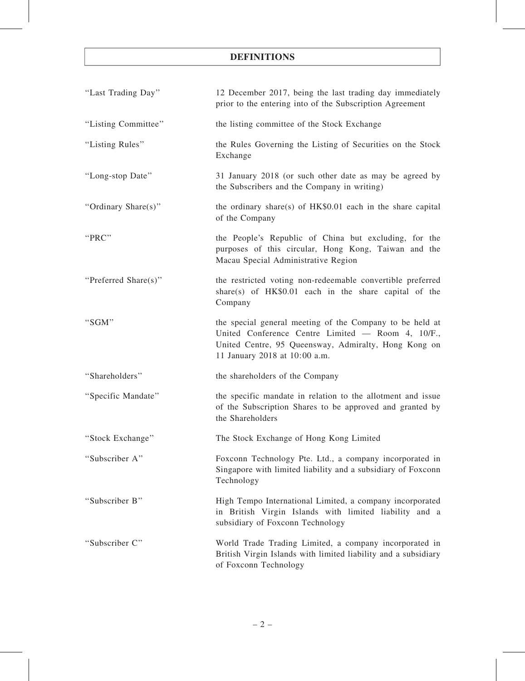## DEFINITIONS

| "Last Trading Day"   | 12 December 2017, being the last trading day immediately<br>prior to the entering into of the Subscription Agreement                                                                                   |
|----------------------|--------------------------------------------------------------------------------------------------------------------------------------------------------------------------------------------------------|
| "Listing Committee"  | the listing committee of the Stock Exchange                                                                                                                                                            |
| "Listing Rules"      | the Rules Governing the Listing of Securities on the Stock<br>Exchange                                                                                                                                 |
| "Long-stop Date"     | 31 January 2018 (or such other date as may be agreed by<br>the Subscribers and the Company in writing)                                                                                                 |
| "Ordinary Share(s)"  | the ordinary share(s) of $HK$0.01$ each in the share capital<br>of the Company                                                                                                                         |
| "PRC"                | the People's Republic of China but excluding, for the<br>purposes of this circular, Hong Kong, Taiwan and the<br>Macau Special Administrative Region                                                   |
| "Preferred Share(s)" | the restricted voting non-redeemable convertible preferred<br>share(s) of $HK$0.01$ each in the share capital of the<br>Company                                                                        |
| "SGM"                | the special general meeting of the Company to be held at<br>United Conference Centre Limited - Room 4, 10/F.,<br>United Centre, 95 Queensway, Admiralty, Hong Kong on<br>11 January 2018 at 10:00 a.m. |
| "Shareholders"       | the shareholders of the Company                                                                                                                                                                        |
| "Specific Mandate"   | the specific mandate in relation to the allotment and issue<br>of the Subscription Shares to be approved and granted by<br>the Shareholders                                                            |
| "Stock Exchange"     | The Stock Exchange of Hong Kong Limited                                                                                                                                                                |
| "Subscriber A"       | Foxconn Technology Pte. Ltd., a company incorporated in<br>Singapore with limited liability and a subsidiary of Foxconn<br>Technology                                                                  |
| "Subscriber B"       | High Tempo International Limited, a company incorporated<br>in British Virgin Islands with limited liability and a<br>subsidiary of Foxconn Technology                                                 |
| "Subscriber C"       | World Trade Trading Limited, a company incorporated in<br>British Virgin Islands with limited liability and a subsidiary<br>of Foxconn Technology                                                      |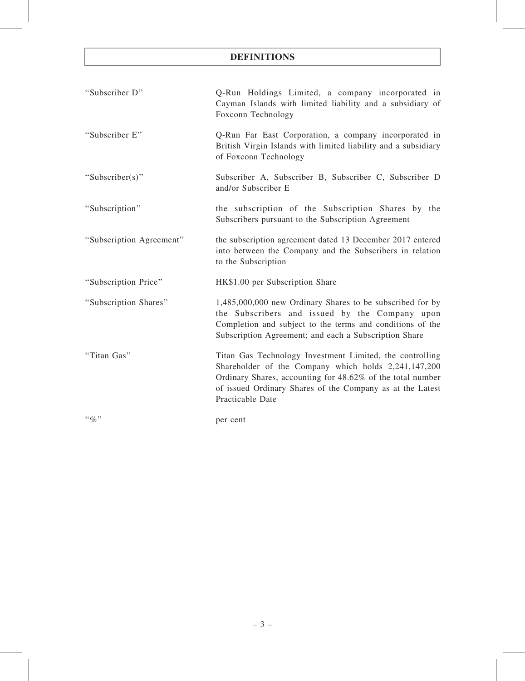## DEFINITIONS

| "Subscriber D"                | Q-Run Holdings Limited, a company incorporated in<br>Cayman Islands with limited liability and a subsidiary of<br>Foxconn Technology                                                                                                                            |
|-------------------------------|-----------------------------------------------------------------------------------------------------------------------------------------------------------------------------------------------------------------------------------------------------------------|
| "Subscriber E"                | Q-Run Far East Corporation, a company incorporated in<br>British Virgin Islands with limited liability and a subsidiary<br>of Foxconn Technology                                                                                                                |
| "Subscriber(s)"               | Subscriber A, Subscriber B, Subscriber C, Subscriber D<br>and/or Subscriber E                                                                                                                                                                                   |
| "Subscription"                | the subscription of the Subscription Shares by the<br>Subscribers pursuant to the Subscription Agreement                                                                                                                                                        |
| "Subscription Agreement"      | the subscription agreement dated 13 December 2017 entered<br>into between the Company and the Subscribers in relation<br>to the Subscription                                                                                                                    |
| "Subscription Price"          | HK\$1.00 per Subscription Share                                                                                                                                                                                                                                 |
| "Subscription Shares"         | 1,485,000,000 new Ordinary Shares to be subscribed for by<br>the Subscribers and issued by the Company upon<br>Completion and subject to the terms and conditions of the<br>Subscription Agreement; and each a Subscription Share                               |
| "Titan Gas"                   | Titan Gas Technology Investment Limited, the controlling<br>Shareholder of the Company which holds 2,241,147,200<br>Ordinary Shares, accounting for 48.62% of the total number<br>of issued Ordinary Shares of the Company as at the Latest<br>Practicable Date |
| $\cdot \cdot \mathcal{Q}_0$ " | per cent                                                                                                                                                                                                                                                        |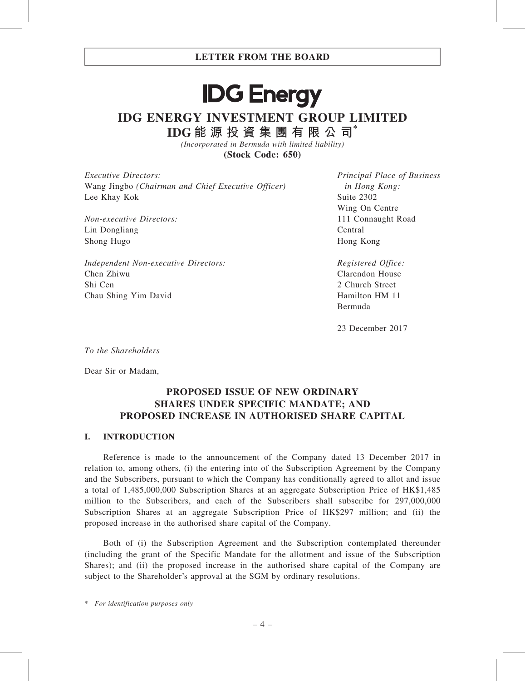## **IDG Energy** IDG ENERGY INVESTMENT GROUP LIMITED IDG 能 源 投 資 集 團 有 限 公 司\*

(Incorporated in Bermuda with limited liability) (Stock Code: 650)

Executive Directors: Wang Jingbo (Chairman and Chief Executive Officer) Lee Khay Kok

Non-executive Directors: Lin Dongliang Shong Hugo

Independent Non-executive Directors: Chen Zhiwu Shi Cen Chau Shing Yim David

Principal Place of Business in Hong Kong: Suite 2302 Wing On Centre 111 Connaught Road Central Hong Kong

Registered Office: Clarendon House 2 Church Street Hamilton HM 11 Bermuda

23 December 2017

To the Shareholders

Dear Sir or Madam,

## PROPOSED ISSUE OF NEW ORDINARY SHARES UNDER SPECIFIC MANDATE; AND PROPOSED INCREASE IN AUTHORISED SHARE CAPITAL

#### I. INTRODUCTION

Reference is made to the announcement of the Company dated 13 December 2017 in relation to, among others, (i) the entering into of the Subscription Agreement by the Company and the Subscribers, pursuant to which the Company has conditionally agreed to allot and issue a total of 1,485,000,000 Subscription Shares at an aggregate Subscription Price of HK\$1,485 million to the Subscribers, and each of the Subscribers shall subscribe for 297,000,000 Subscription Shares at an aggregate Subscription Price of HK\$297 million; and (ii) the proposed increase in the authorised share capital of the Company.

Both of (i) the Subscription Agreement and the Subscription contemplated thereunder (including the grant of the Specific Mandate for the allotment and issue of the Subscription Shares); and (ii) the proposed increase in the authorised share capital of the Company are subject to the Shareholder's approval at the SGM by ordinary resolutions.

\* For identification purposes only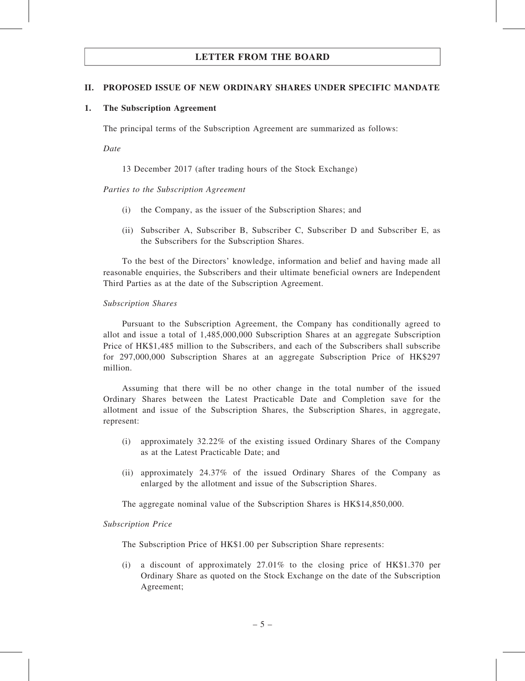#### II. PROPOSED ISSUE OF NEW ORDINARY SHARES UNDER SPECIFIC MANDATE

#### 1. The Subscription Agreement

The principal terms of the Subscription Agreement are summarized as follows:

Date

13 December 2017 (after trading hours of the Stock Exchange)

#### Parties to the Subscription Agreement

- (i) the Company, as the issuer of the Subscription Shares; and
- (ii) Subscriber A, Subscriber B, Subscriber C, Subscriber D and Subscriber E, as the Subscribers for the Subscription Shares.

To the best of the Directors' knowledge, information and belief and having made all reasonable enquiries, the Subscribers and their ultimate beneficial owners are Independent Third Parties as at the date of the Subscription Agreement.

#### Subscription Shares

Pursuant to the Subscription Agreement, the Company has conditionally agreed to allot and issue a total of 1,485,000,000 Subscription Shares at an aggregate Subscription Price of HK\$1,485 million to the Subscribers, and each of the Subscribers shall subscribe for 297,000,000 Subscription Shares at an aggregate Subscription Price of HK\$297 million.

Assuming that there will be no other change in the total number of the issued Ordinary Shares between the Latest Practicable Date and Completion save for the allotment and issue of the Subscription Shares, the Subscription Shares, in aggregate, represent:

- (i) approximately 32.22% of the existing issued Ordinary Shares of the Company as at the Latest Practicable Date; and
- (ii) approximately 24.37% of the issued Ordinary Shares of the Company as enlarged by the allotment and issue of the Subscription Shares.

The aggregate nominal value of the Subscription Shares is HK\$14,850,000.

#### Subscription Price

The Subscription Price of HK\$1.00 per Subscription Share represents:

(i) a discount of approximately 27.01% to the closing price of HK\$1.370 per Ordinary Share as quoted on the Stock Exchange on the date of the Subscription Agreement;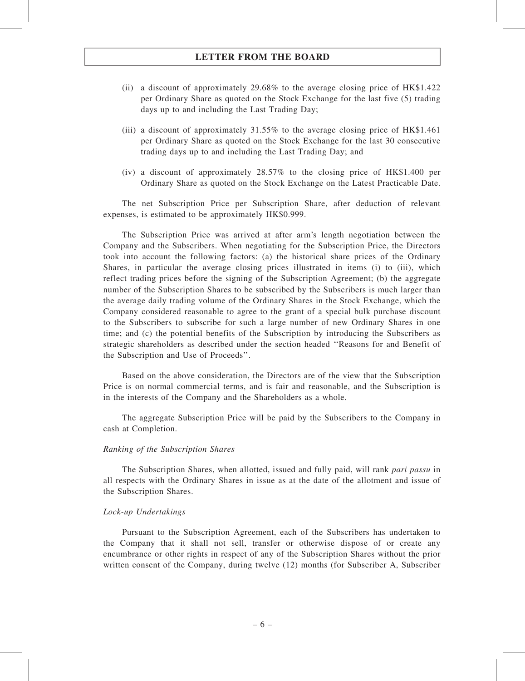- (ii) a discount of approximately 29.68% to the average closing price of HK\$1.422 per Ordinary Share as quoted on the Stock Exchange for the last five (5) trading days up to and including the Last Trading Day;
- (iii) a discount of approximately 31.55% to the average closing price of HK\$1.461 per Ordinary Share as quoted on the Stock Exchange for the last 30 consecutive trading days up to and including the Last Trading Day; and
- (iv) a discount of approximately 28.57% to the closing price of HK\$1.400 per Ordinary Share as quoted on the Stock Exchange on the Latest Practicable Date.

The net Subscription Price per Subscription Share, after deduction of relevant expenses, is estimated to be approximately HK\$0.999.

The Subscription Price was arrived at after arm's length negotiation between the Company and the Subscribers. When negotiating for the Subscription Price, the Directors took into account the following factors: (a) the historical share prices of the Ordinary Shares, in particular the average closing prices illustrated in items (i) to (iii), which reflect trading prices before the signing of the Subscription Agreement; (b) the aggregate number of the Subscription Shares to be subscribed by the Subscribers is much larger than the average daily trading volume of the Ordinary Shares in the Stock Exchange, which the Company considered reasonable to agree to the grant of a special bulk purchase discount to the Subscribers to subscribe for such a large number of new Ordinary Shares in one time; and (c) the potential benefits of the Subscription by introducing the Subscribers as strategic shareholders as described under the section headed ''Reasons for and Benefit of the Subscription and Use of Proceeds''.

Based on the above consideration, the Directors are of the view that the Subscription Price is on normal commercial terms, and is fair and reasonable, and the Subscription is in the interests of the Company and the Shareholders as a whole.

The aggregate Subscription Price will be paid by the Subscribers to the Company in cash at Completion.

#### Ranking of the Subscription Shares

The Subscription Shares, when allotted, issued and fully paid, will rank *pari passu* in all respects with the Ordinary Shares in issue as at the date of the allotment and issue of the Subscription Shares.

#### Lock-up Undertakings

Pursuant to the Subscription Agreement, each of the Subscribers has undertaken to the Company that it shall not sell, transfer or otherwise dispose of or create any encumbrance or other rights in respect of any of the Subscription Shares without the prior written consent of the Company, during twelve (12) months (for Subscriber A, Subscriber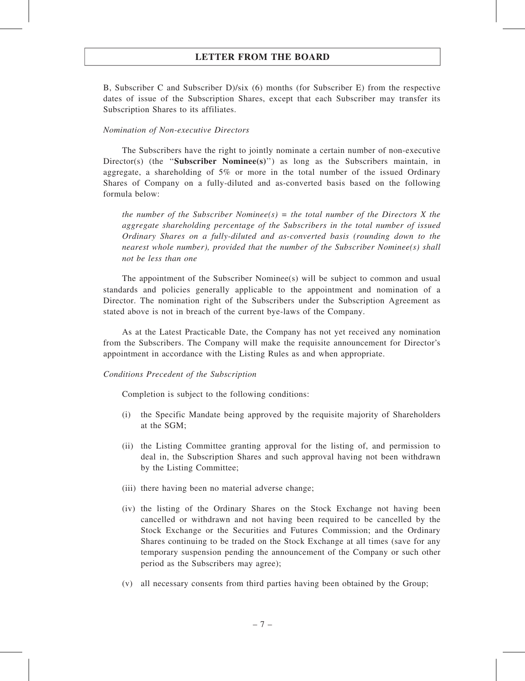B, Subscriber C and Subscriber D)/six (6) months (for Subscriber E) from the respective dates of issue of the Subscription Shares, except that each Subscriber may transfer its Subscription Shares to its affiliates.

#### Nomination of Non-executive Directors

The Subscribers have the right to jointly nominate a certain number of non-executive Director(s) (the "Subscriber Nominee(s)") as long as the Subscribers maintain, in aggregate, a shareholding of 5% or more in the total number of the issued Ordinary Shares of Company on a fully-diluted and as-converted basis based on the following formula below:

the number of the Subscriber Nominee(s) = the total number of the Directors X the aggregate shareholding percentage of the Subscribers in the total number of issued Ordinary Shares on a fully-diluted and as-converted basis (rounding down to the nearest whole number), provided that the number of the Subscriber Nominee(s) shall not be less than one

The appointment of the Subscriber Nominee(s) will be subject to common and usual standards and policies generally applicable to the appointment and nomination of a Director. The nomination right of the Subscribers under the Subscription Agreement as stated above is not in breach of the current bye-laws of the Company.

As at the Latest Practicable Date, the Company has not yet received any nomination from the Subscribers. The Company will make the requisite announcement for Director's appointment in accordance with the Listing Rules as and when appropriate.

#### Conditions Precedent of the Subscription

Completion is subject to the following conditions:

- (i) the Specific Mandate being approved by the requisite majority of Shareholders at the SGM;
- (ii) the Listing Committee granting approval for the listing of, and permission to deal in, the Subscription Shares and such approval having not been withdrawn by the Listing Committee;
- (iii) there having been no material adverse change;
- (iv) the listing of the Ordinary Shares on the Stock Exchange not having been cancelled or withdrawn and not having been required to be cancelled by the Stock Exchange or the Securities and Futures Commission; and the Ordinary Shares continuing to be traded on the Stock Exchange at all times (save for any temporary suspension pending the announcement of the Company or such other period as the Subscribers may agree);
- (v) all necessary consents from third parties having been obtained by the Group;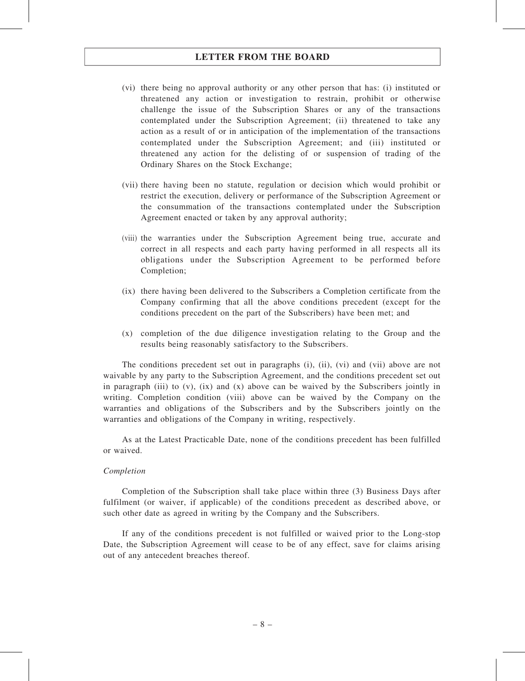- (vi) there being no approval authority or any other person that has: (i) instituted or threatened any action or investigation to restrain, prohibit or otherwise challenge the issue of the Subscription Shares or any of the transactions contemplated under the Subscription Agreement; (ii) threatened to take any action as a result of or in anticipation of the implementation of the transactions contemplated under the Subscription Agreement; and (iii) instituted or threatened any action for the delisting of or suspension of trading of the Ordinary Shares on the Stock Exchange;
- (vii) there having been no statute, regulation or decision which would prohibit or restrict the execution, delivery or performance of the Subscription Agreement or the consummation of the transactions contemplated under the Subscription Agreement enacted or taken by any approval authority;
- (viii) the warranties under the Subscription Agreement being true, accurate and correct in all respects and each party having performed in all respects all its obligations under the Subscription Agreement to be performed before Completion;
- (ix) there having been delivered to the Subscribers a Completion certificate from the Company confirming that all the above conditions precedent (except for the conditions precedent on the part of the Subscribers) have been met; and
- (x) completion of the due diligence investigation relating to the Group and the results being reasonably satisfactory to the Subscribers.

The conditions precedent set out in paragraphs (i), (ii), (vi) and (vii) above are not waivable by any party to the Subscription Agreement, and the conditions precedent set out in paragraph (iii) to  $(v)$ ,  $(ix)$  and  $(x)$  above can be waived by the Subscribers jointly in writing. Completion condition (viii) above can be waived by the Company on the warranties and obligations of the Subscribers and by the Subscribers jointly on the warranties and obligations of the Company in writing, respectively.

As at the Latest Practicable Date, none of the conditions precedent has been fulfilled or waived.

#### Completion

Completion of the Subscription shall take place within three (3) Business Days after fulfilment (or waiver, if applicable) of the conditions precedent as described above, or such other date as agreed in writing by the Company and the Subscribers.

If any of the conditions precedent is not fulfilled or waived prior to the Long-stop Date, the Subscription Agreement will cease to be of any effect, save for claims arising out of any antecedent breaches thereof.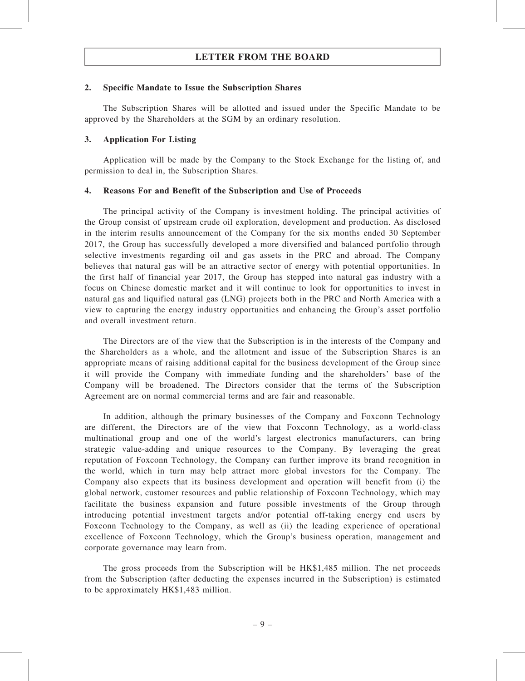#### 2. Specific Mandate to Issue the Subscription Shares

The Subscription Shares will be allotted and issued under the Specific Mandate to be approved by the Shareholders at the SGM by an ordinary resolution.

#### 3. Application For Listing

Application will be made by the Company to the Stock Exchange for the listing of, and permission to deal in, the Subscription Shares.

#### 4. Reasons For and Benefit of the Subscription and Use of Proceeds

The principal activity of the Company is investment holding. The principal activities of the Group consist of upstream crude oil exploration, development and production. As disclosed in the interim results announcement of the Company for the six months ended 30 September 2017, the Group has successfully developed a more diversified and balanced portfolio through selective investments regarding oil and gas assets in the PRC and abroad. The Company believes that natural gas will be an attractive sector of energy with potential opportunities. In the first half of financial year 2017, the Group has stepped into natural gas industry with a focus on Chinese domestic market and it will continue to look for opportunities to invest in natural gas and liquified natural gas (LNG) projects both in the PRC and North America with a view to capturing the energy industry opportunities and enhancing the Group's asset portfolio and overall investment return.

The Directors are of the view that the Subscription is in the interests of the Company and the Shareholders as a whole, and the allotment and issue of the Subscription Shares is an appropriate means of raising additional capital for the business development of the Group since it will provide the Company with immediate funding and the shareholders' base of the Company will be broadened. The Directors consider that the terms of the Subscription Agreement are on normal commercial terms and are fair and reasonable.

In addition, although the primary businesses of the Company and Foxconn Technology are different, the Directors are of the view that Foxconn Technology, as a world-class multinational group and one of the world's largest electronics manufacturers, can bring strategic value-adding and unique resources to the Company. By leveraging the great reputation of Foxconn Technology, the Company can further improve its brand recognition in the world, which in turn may help attract more global investors for the Company. The Company also expects that its business development and operation will benefit from (i) the global network, customer resources and public relationship of Foxconn Technology, which may facilitate the business expansion and future possible investments of the Group through introducing potential investment targets and/or potential off-taking energy end users by Foxconn Technology to the Company, as well as (ii) the leading experience of operational excellence of Foxconn Technology, which the Group's business operation, management and corporate governance may learn from.

The gross proceeds from the Subscription will be HK\$1,485 million. The net proceeds from the Subscription (after deducting the expenses incurred in the Subscription) is estimated to be approximately HK\$1,483 million.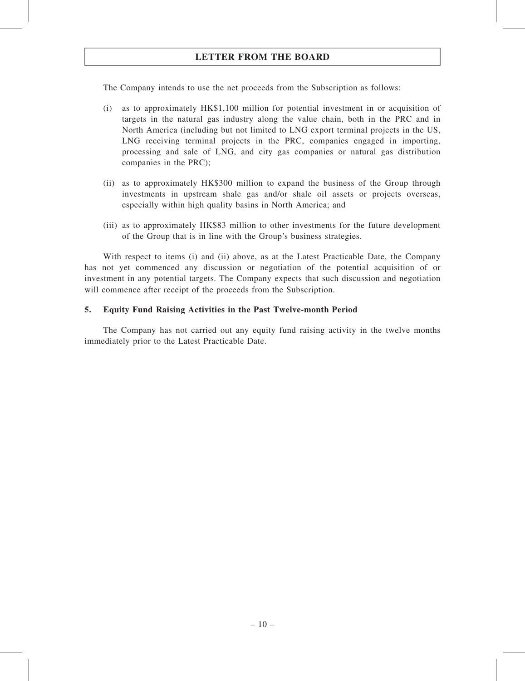The Company intends to use the net proceeds from the Subscription as follows:

- (i) as to approximately HK\$1,100 million for potential investment in or acquisition of targets in the natural gas industry along the value chain, both in the PRC and in North America (including but not limited to LNG export terminal projects in the US, LNG receiving terminal projects in the PRC, companies engaged in importing, processing and sale of LNG, and city gas companies or natural gas distribution companies in the PRC);
- (ii) as to approximately HK\$300 million to expand the business of the Group through investments in upstream shale gas and/or shale oil assets or projects overseas, especially within high quality basins in North America; and
- (iii) as to approximately HK\$83 million to other investments for the future development of the Group that is in line with the Group's business strategies.

With respect to items (i) and (ii) above, as at the Latest Practicable Date, the Company has not yet commenced any discussion or negotiation of the potential acquisition of or investment in any potential targets. The Company expects that such discussion and negotiation will commence after receipt of the proceeds from the Subscription.

#### 5. Equity Fund Raising Activities in the Past Twelve-month Period

The Company has not carried out any equity fund raising activity in the twelve months immediately prior to the Latest Practicable Date.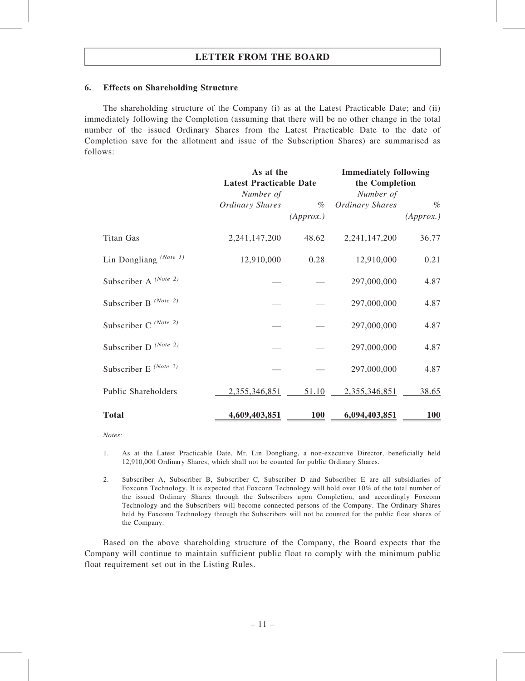#### 6. Effects on Shareholding Structure

The shareholding structure of the Company (i) as at the Latest Practicable Date; and (ii) immediately following the Completion (assuming that there will be no other change in the total number of the issued Ordinary Shares from the Latest Practicable Date to the date of Completion save for the allotment and issue of the Subscription Shares) are summarised as follows:

|                                   | As at the<br><b>Latest Practicable Date</b> |           | <b>Immediately following</b><br>the Completion |            |
|-----------------------------------|---------------------------------------------|-----------|------------------------------------------------|------------|
|                                   |                                             |           |                                                |            |
|                                   | Number of                                   |           |                                                |            |
|                                   | Ordinary Shares                             | $\%$      | <b>Ordinary Shares</b>                         | $\%$       |
|                                   |                                             | (Approx.) |                                                | (Approx.)  |
| Titan Gas                         | 2, 241, 147, 200                            | 48.62     | 2, 241, 147, 200                               | 36.77      |
| Lin Dongliang <sup>(Note 1)</sup> | 12,910,000                                  | 0.28      | 12,910,000                                     | 0.21       |
| Subscriber A (Note 2)             |                                             |           | 297,000,000                                    | 4.87       |
| Subscriber B <sup>(Note 2)</sup>  |                                             |           | 297,000,000                                    | 4.87       |
| Subscriber C (Note 2)             |                                             |           | 297,000,000                                    | 4.87       |
| Subscriber D <sup>(Note 2)</sup>  |                                             |           | 297,000,000                                    | 4.87       |
| Subscriber E <sup>(Note 2)</sup>  |                                             |           | 297,000,000                                    | 4.87       |
| Public Shareholders               | 2,355,346,851                               | 51.10     | 2,355,346,851                                  | 38.65      |
| <b>Total</b>                      | 4,609,403,851                               | 100       | 6,094,403,851                                  | <b>100</b> |

Notes:

1. As at the Latest Practicable Date, Mr. Lin Dongliang, a non-executive Director, beneficially held 12,910,000 Ordinary Shares, which shall not be counted for public Ordinary Shares.

2. Subscriber A, Subscriber B, Subscriber C, Subscriber D and Subscriber E are all subsidiaries of Foxconn Technology. It is expected that Foxconn Technology will hold over 10% of the total number of the issued Ordinary Shares through the Subscribers upon Completion, and accordingly Foxconn Technology and the Subscribers will become connected persons of the Company. The Ordinary Shares held by Foxconn Technology through the Subscribers will not be counted for the public float shares of the Company.

Based on the above shareholding structure of the Company, the Board expects that the Company will continue to maintain sufficient public float to comply with the minimum public float requirement set out in the Listing Rules.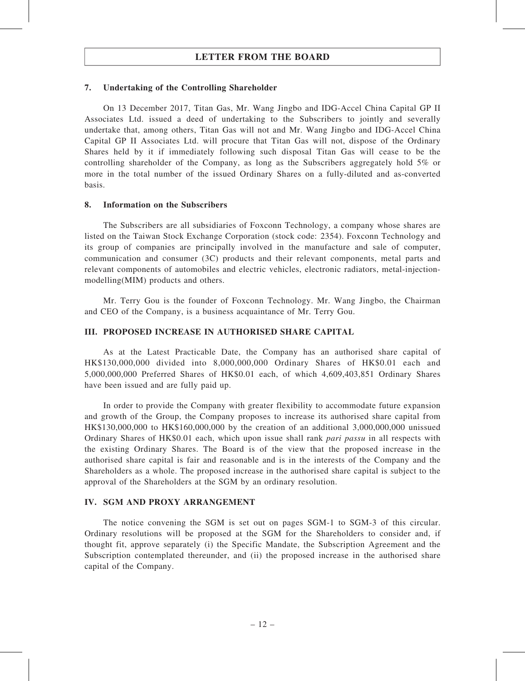#### 7. Undertaking of the Controlling Shareholder

On 13 December 2017, Titan Gas, Mr. Wang Jingbo and IDG-Accel China Capital GP II Associates Ltd. issued a deed of undertaking to the Subscribers to jointly and severally undertake that, among others, Titan Gas will not and Mr. Wang Jingbo and IDG-Accel China Capital GP II Associates Ltd. will procure that Titan Gas will not, dispose of the Ordinary Shares held by it if immediately following such disposal Titan Gas will cease to be the controlling shareholder of the Company, as long as the Subscribers aggregately hold 5% or more in the total number of the issued Ordinary Shares on a fully-diluted and as-converted basis.

#### 8. Information on the Subscribers

The Subscribers are all subsidiaries of Foxconn Technology, a company whose shares are listed on the Taiwan Stock Exchange Corporation (stock code: 2354). Foxconn Technology and its group of companies are principally involved in the manufacture and sale of computer, communication and consumer (3C) products and their relevant components, metal parts and relevant components of automobiles and electric vehicles, electronic radiators, metal-injectionmodelling(MIM) products and others.

Mr. Terry Gou is the founder of Foxconn Technology. Mr. Wang Jingbo, the Chairman and CEO of the Company, is a business acquaintance of Mr. Terry Gou.

#### III. PROPOSED INCREASE IN AUTHORISED SHARE CAPITAL

As at the Latest Practicable Date, the Company has an authorised share capital of HK\$130,000,000 divided into 8,000,000,000 Ordinary Shares of HK\$0.01 each and 5,000,000,000 Preferred Shares of HK\$0.01 each, of which 4,609,403,851 Ordinary Shares have been issued and are fully paid up.

In order to provide the Company with greater flexibility to accommodate future expansion and growth of the Group, the Company proposes to increase its authorised share capital from HK\$130,000,000 to HK\$160,000,000 by the creation of an additional 3,000,000,000 unissued Ordinary Shares of HK\$0.01 each, which upon issue shall rank *pari passu* in all respects with the existing Ordinary Shares. The Board is of the view that the proposed increase in the authorised share capital is fair and reasonable and is in the interests of the Company and the Shareholders as a whole. The proposed increase in the authorised share capital is subject to the approval of the Shareholders at the SGM by an ordinary resolution.

#### IV. SGM AND PROXY ARRANGEMENT

The notice convening the SGM is set out on pages SGM-1 to SGM-3 of this circular. Ordinary resolutions will be proposed at the SGM for the Shareholders to consider and, if thought fit, approve separately (i) the Specific Mandate, the Subscription Agreement and the Subscription contemplated thereunder, and (ii) the proposed increase in the authorised share capital of the Company.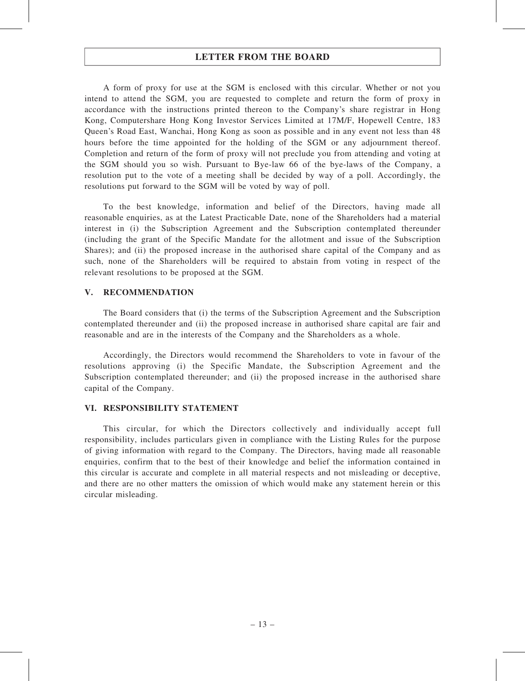A form of proxy for use at the SGM is enclosed with this circular. Whether or not you intend to attend the SGM, you are requested to complete and return the form of proxy in accordance with the instructions printed thereon to the Company's share registrar in Hong Kong, Computershare Hong Kong Investor Services Limited at 17M/F, Hopewell Centre, 183 Queen's Road East, Wanchai, Hong Kong as soon as possible and in any event not less than 48 hours before the time appointed for the holding of the SGM or any adjournment thereof. Completion and return of the form of proxy will not preclude you from attending and voting at the SGM should you so wish. Pursuant to Bye-law 66 of the bye-laws of the Company, a resolution put to the vote of a meeting shall be decided by way of a poll. Accordingly, the resolutions put forward to the SGM will be voted by way of poll.

To the best knowledge, information and belief of the Directors, having made all reasonable enquiries, as at the Latest Practicable Date, none of the Shareholders had a material interest in (i) the Subscription Agreement and the Subscription contemplated thereunder (including the grant of the Specific Mandate for the allotment and issue of the Subscription Shares); and (ii) the proposed increase in the authorised share capital of the Company and as such, none of the Shareholders will be required to abstain from voting in respect of the relevant resolutions to be proposed at the SGM.

#### V. RECOMMENDATION

The Board considers that (i) the terms of the Subscription Agreement and the Subscription contemplated thereunder and (ii) the proposed increase in authorised share capital are fair and reasonable and are in the interests of the Company and the Shareholders as a whole.

Accordingly, the Directors would recommend the Shareholders to vote in favour of the resolutions approving (i) the Specific Mandate, the Subscription Agreement and the Subscription contemplated thereunder; and (ii) the proposed increase in the authorised share capital of the Company.

#### VI. RESPONSIBILITY STATEMENT

This circular, for which the Directors collectively and individually accept full responsibility, includes particulars given in compliance with the Listing Rules for the purpose of giving information with regard to the Company. The Directors, having made all reasonable enquiries, confirm that to the best of their knowledge and belief the information contained in this circular is accurate and complete in all material respects and not misleading or deceptive, and there are no other matters the omission of which would make any statement herein or this circular misleading.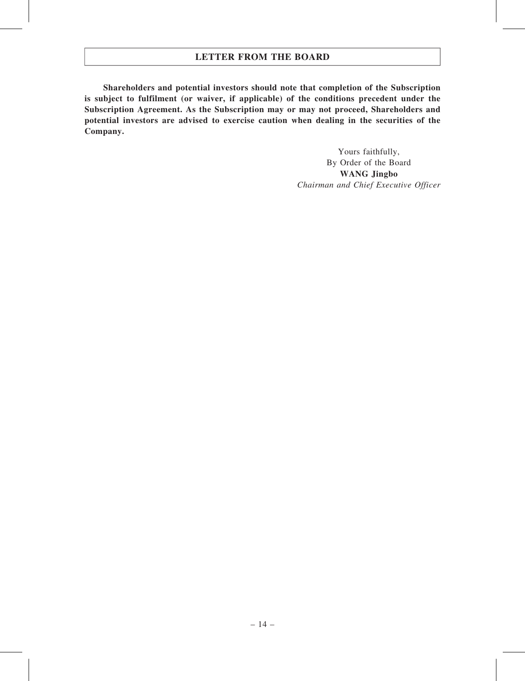Shareholders and potential investors should note that completion of the Subscription is subject to fulfilment (or waiver, if applicable) of the conditions precedent under the Subscription Agreement. As the Subscription may or may not proceed, Shareholders and potential investors are advised to exercise caution when dealing in the securities of the Company.

> Yours faithfully, By Order of the Board WANG Jingbo Chairman and Chief Executive Officer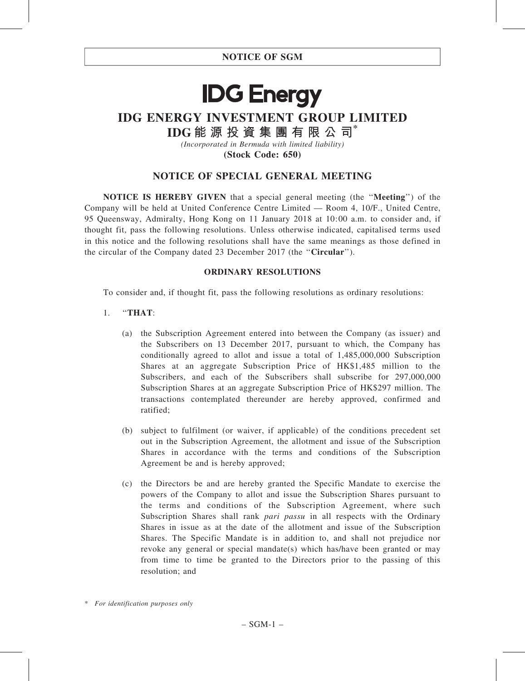# **IDG Energy**

## IDG ENERGY INVESTMENT GROUP LIMITED

IDG 能 源 投 資 集 團 有 限 公 司\*

(Incorporated in Bermuda with limited liability)

(Stock Code: 650)

## NOTICE OF SPECIAL GENERAL MEETING

NOTICE IS HEREBY GIVEN that a special general meeting (the ''Meeting'') of the Company will be held at United Conference Centre Limited — Room 4, 10/F., United Centre, 95 Queensway, Admiralty, Hong Kong on 11 January 2018 at 10:00 a.m. to consider and, if thought fit, pass the following resolutions. Unless otherwise indicated, capitalised terms used in this notice and the following resolutions shall have the same meanings as those defined in the circular of the Company dated 23 December 2017 (the ''Circular'').

#### ORDINARY RESOLUTIONS

To consider and, if thought fit, pass the following resolutions as ordinary resolutions:

#### 1. ''THAT:

- (a) the Subscription Agreement entered into between the Company (as issuer) and the Subscribers on 13 December 2017, pursuant to which, the Company has conditionally agreed to allot and issue a total of 1,485,000,000 Subscription Shares at an aggregate Subscription Price of HK\$1,485 million to the Subscribers, and each of the Subscribers shall subscribe for 297,000,000 Subscription Shares at an aggregate Subscription Price of HK\$297 million. The transactions contemplated thereunder are hereby approved, confirmed and ratified;
- (b) subject to fulfilment (or waiver, if applicable) of the conditions precedent set out in the Subscription Agreement, the allotment and issue of the Subscription Shares in accordance with the terms and conditions of the Subscription Agreement be and is hereby approved;
- (c) the Directors be and are hereby granted the Specific Mandate to exercise the powers of the Company to allot and issue the Subscription Shares pursuant to the terms and conditions of the Subscription Agreement, where such Subscription Shares shall rank *pari passu* in all respects with the Ordinary Shares in issue as at the date of the allotment and issue of the Subscription Shares. The Specific Mandate is in addition to, and shall not prejudice nor revoke any general or special mandate(s) which has/have been granted or may from time to time be granted to the Directors prior to the passing of this resolution; and

<sup>\*</sup> For identification purposes only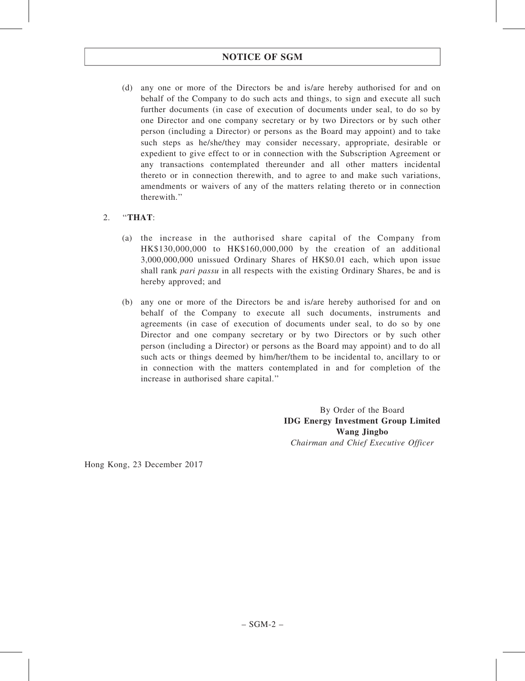## NOTICE OF SGM

(d) any one or more of the Directors be and is/are hereby authorised for and on behalf of the Company to do such acts and things, to sign and execute all such further documents (in case of execution of documents under seal, to do so by one Director and one company secretary or by two Directors or by such other person (including a Director) or persons as the Board may appoint) and to take such steps as he/she/they may consider necessary, appropriate, desirable or expedient to give effect to or in connection with the Subscription Agreement or any transactions contemplated thereunder and all other matters incidental thereto or in connection therewith, and to agree to and make such variations, amendments or waivers of any of the matters relating thereto or in connection therewith.''

#### 2. ''THAT:

- (a) the increase in the authorised share capital of the Company from HK\$130,000,000 to HK\$160,000,000 by the creation of an additional 3,000,000,000 unissued Ordinary Shares of HK\$0.01 each, which upon issue shall rank *pari passu* in all respects with the existing Ordinary Shares, be and is hereby approved; and
- (b) any one or more of the Directors be and is/are hereby authorised for and on behalf of the Company to execute all such documents, instruments and agreements (in case of execution of documents under seal, to do so by one Director and one company secretary or by two Directors or by such other person (including a Director) or persons as the Board may appoint) and to do all such acts or things deemed by him/her/them to be incidental to, ancillary to or in connection with the matters contemplated in and for completion of the increase in authorised share capital.''

By Order of the Board IDG Energy Investment Group Limited Wang Jingbo Chairman and Chief Executive Officer

Hong Kong, 23 December 2017